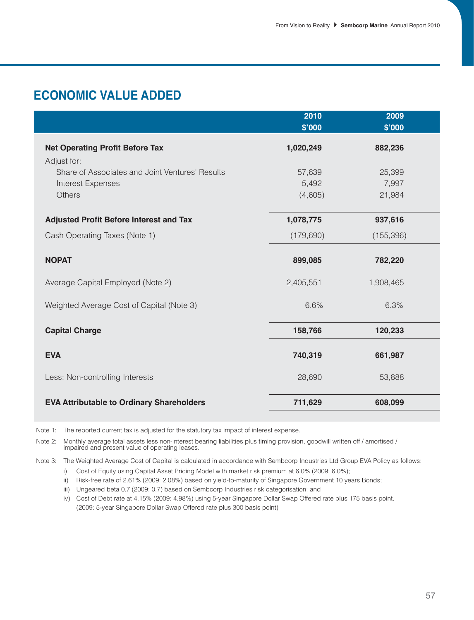# **ECONOMIC VALUE ADDED**

|                                                  | 2010       | 2009       |  |
|--------------------------------------------------|------------|------------|--|
|                                                  | \$'000     | \$'000     |  |
| <b>Net Operating Profit Before Tax</b>           | 1,020,249  | 882,236    |  |
| Adjust for:                                      |            |            |  |
| Share of Associates and Joint Ventures' Results  | 57,639     | 25,399     |  |
| Interest Expenses                                | 5,492      | 7,997      |  |
| Others                                           | (4,605)    | 21,984     |  |
|                                                  |            |            |  |
| <b>Adjusted Profit Before Interest and Tax</b>   | 1,078,775  | 937,616    |  |
| Cash Operating Taxes (Note 1)                    | (179, 690) | (155, 396) |  |
| <b>NOPAT</b>                                     | 899,085    | 782,220    |  |
| Average Capital Employed (Note 2)                | 2,405,551  | 1,908,465  |  |
| Weighted Average Cost of Capital (Note 3)        | 6.6%       | 6.3%       |  |
| <b>Capital Charge</b>                            | 158,766    | 120,233    |  |
| <b>EVA</b>                                       | 740,319    | 661,987    |  |
| Less: Non-controlling Interests                  | 28,690     | 53,888     |  |
| <b>EVA Attributable to Ordinary Shareholders</b> | 711,629    | 608,099    |  |

Note 1: The reported current tax is adjusted for the statutory tax impact of interest expense.

Note 2: Monthly average total assets less non-interest bearing liabilities plus timing provision, goodwill written off / amortised / impaired and present value of operating leases.

Note 3: The Weighted Average Cost of Capital is calculated in accordance with Sembcorp Industries Ltd Group EVA Policy as follows:

i) Cost of Equity using Capital Asset Pricing Model with market risk premium at 6.0% (2009: 6.0%);

ii) Risk-free rate of 2.61% (2009: 2.08%) based on yield-to-maturity of Singapore Government 10 years Bonds;

iii) Ungeared beta 0.7 (2009: 0.7) based on Sembcorp Industries risk categorisation; and

iv) Cost of Debt rate at 4.15% (2009: 4.98%) using 5-year Singapore Dollar Swap Offered rate plus 175 basis point. (2009: 5-year Singapore Dollar Swap Offered rate plus 300 basis point)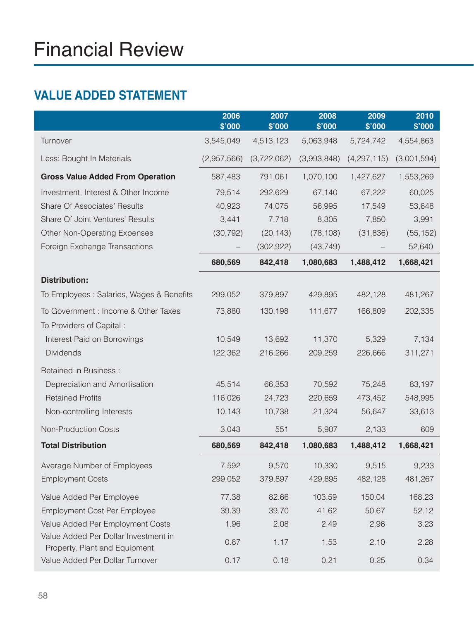# **VALUE ADDED STATEMENT**

|                                                                       | 2006<br>\$'000 | 2007<br>\$'000 | 2008<br>\$'000 | 2009<br>\$'000 | 2010<br>\$'000 |
|-----------------------------------------------------------------------|----------------|----------------|----------------|----------------|----------------|
| Turnover                                                              | 3,545,049      | 4,513,123      | 5,063,948      | 5,724,742      | 4,554,863      |
| Less: Bought In Materials                                             | (2,957,566)    | (3,722,062)    | (3,993,848)    | (4,297,115)    | (3,001,594)    |
| <b>Gross Value Added From Operation</b>                               | 587,483        | 791,061        | 1,070,100      | 1,427,627      | 1,553,269      |
| Investment, Interest & Other Income                                   | 79,514         | 292,629        | 67,140         | 67,222         | 60,025         |
| <b>Share Of Associates' Results</b>                                   | 40,923         | 74,075         | 56,995         | 17,549         | 53,648         |
| Share Of Joint Ventures' Results                                      | 3,441          | 7,718          | 8,305          | 7,850          | 3,991          |
| <b>Other Non-Operating Expenses</b>                                   | (30, 792)      | (20, 143)      | (78, 108)      | (31, 836)      | (55, 152)      |
| Foreign Exchange Transactions                                         |                | (302, 922)     | (43, 749)      |                | 52,640         |
|                                                                       | 680,569        | 842,418        | 1,080,683      | 1,488,412      | 1,668,421      |
| <b>Distribution:</b>                                                  |                |                |                |                |                |
| To Employees : Salaries, Wages & Benefits                             | 299,052        | 379,897        | 429,895        | 482,128        | 481,267        |
| To Government : Income & Other Taxes                                  | 73,880         | 130,198        | 111,677        | 166,809        | 202,335        |
| To Providers of Capital:                                              |                |                |                |                |                |
| Interest Paid on Borrowings                                           | 10,549         | 13,692         | 11,370         | 5,329          | 7,134          |
| <b>Dividends</b>                                                      | 122,362        | 216,266        | 209,259        | 226,666        | 311,271        |
| <b>Retained in Business:</b>                                          |                |                |                |                |                |
| Depreciation and Amortisation                                         | 45,514         | 66,353         | 70,592         | 75,248         | 83,197         |
| <b>Retained Profits</b>                                               | 116,026        | 24,723         | 220,659        | 473,452        | 548,995        |
| Non-controlling Interests                                             | 10,143         | 10,738         | 21,324         | 56,647         | 33,613         |
| Non-Production Costs                                                  | 3,043          | 551            | 5,907          | 2,133          | 609            |
| <b>Total Distribution</b>                                             | 680,569        | 842,418        | 1,080,683      | 1,488,412      | 1,668,421      |
| Average Number of Employees                                           | 7,592          | 9,570          | 10,330         | 9,515          | 9,233          |
| <b>Employment Costs</b>                                               | 299,052        | 379,897        | 429,895        | 482,128        | 481,267        |
| Value Added Per Employee                                              | 77.38          | 82.66          | 103.59         | 150.04         | 168.23         |
| <b>Employment Cost Per Employee</b>                                   | 39.39          | 39.70          | 41.62          | 50.67          | 52.12          |
| Value Added Per Employment Costs                                      | 1.96           | 2.08           | 2.49           | 2.96           | 3.23           |
| Value Added Per Dollar Investment in<br>Property, Plant and Equipment | 0.87           | 1.17           | 1.53           | 2.10           | 2.28           |
| Value Added Per Dollar Turnover                                       | 0.17           | 0.18           | 0.21           | 0.25           | 0.34           |